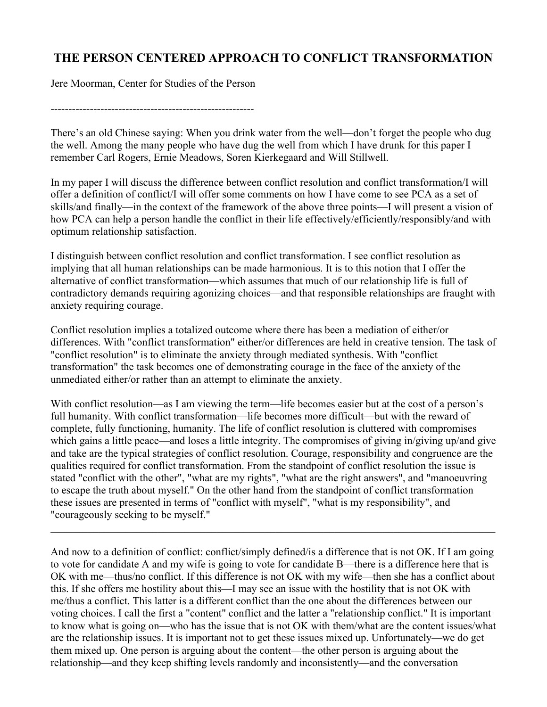## THE PERSON CENTERED APPROACH TO CONFLICT TRANSFORMATION

Jere Moorman, Center for Studies of the Person

---------------------------------------------------------

There's an old Chinese saying: When you drink water from the well—don't forget the people who dug the well. Among the many people who have dug the well from which I have drunk for this paper I remember Carl Rogers, Ernie Meadows, Soren Kierkegaard and Will Stillwell.

In my paper I will discuss the difference between conflict resolution and conflict transformation/I will offer a definition of conflict/I will offer some comments on how I have come to see PCA as a set of skills/and finally—in the context of the framework of the above three points—I will present a vision of how PCA can help a person handle the conflict in their life effectively/efficiently/responsibly/and with optimum relationship satisfaction.

I distinguish between conflict resolution and conflict transformation. I see conflict resolution as implying that all human relationships can be made harmonious. It is to this notion that I offer the alternative of conflict transformation—which assumes that much of our relationship life is full of contradictory demands requiring agonizing choices—and that responsible relationships are fraught with anxiety requiring courage.

Conflict resolution implies a totalized outcome where there has been a mediation of either/or differences. With "conflict transformation" either/or differences are held in creative tension. The task of "conflict resolution" is to eliminate the anxiety through mediated synthesis. With "conflict transformation" the task becomes one of demonstrating courage in the face of the anxiety of the unmediated either/or rather than an attempt to eliminate the anxiety.

With conflict resolution—as I am viewing the term—life becomes easier but at the cost of a person's full humanity. With conflict transformation—life becomes more difficult—but with the reward of complete, fully functioning, humanity. The life of conflict resolution is cluttered with compromises which gains a little peace—and loses a little integrity. The compromises of giving in/giving up/and give and take are the typical strategies of conflict resolution. Courage, responsibility and congruence are the qualities required for conflict transformation. From the standpoint of conflict resolution the issue is stated "conflict with the other", "what are my rights", "what are the right answers", and "manoeuvring to escape the truth about myself." On the other hand from the standpoint of conflict transformation these issues are presented in terms of "conflict with myself", "what is my responsibility", and "courageously seeking to be myself."

 $\mathcal{L}_\mathcal{L} = \{ \mathcal{L}_\mathcal{L} = \{ \mathcal{L}_\mathcal{L} = \{ \mathcal{L}_\mathcal{L} = \{ \mathcal{L}_\mathcal{L} = \{ \mathcal{L}_\mathcal{L} = \{ \mathcal{L}_\mathcal{L} = \{ \mathcal{L}_\mathcal{L} = \{ \mathcal{L}_\mathcal{L} = \{ \mathcal{L}_\mathcal{L} = \{ \mathcal{L}_\mathcal{L} = \{ \mathcal{L}_\mathcal{L} = \{ \mathcal{L}_\mathcal{L} = \{ \mathcal{L}_\mathcal{L} = \{ \mathcal{L}_\mathcal{$ 

And now to a definition of conflict: conflict/simply defined/is a difference that is not OK. If I am going to vote for candidate A and my wife is going to vote for candidate B—there is a difference here that is OK with me—thus/no conflict. If this difference is not OK with my wife—then she has a conflict about this. If she offers me hostility about this—I may see an issue with the hostility that is not OK with me/thus a conflict. This latter is a different conflict than the one about the differences between our voting choices. I call the first a "content" conflict and the latter a "relationship conflict." It is important to know what is going on—who has the issue that is not OK with them/what are the content issues/what are the relationship issues. It is important not to get these issues mixed up. Unfortunately—we do get them mixed up. One person is arguing about the content—the other person is arguing about the relationship—and they keep shifting levels randomly and inconsistently—and the conversation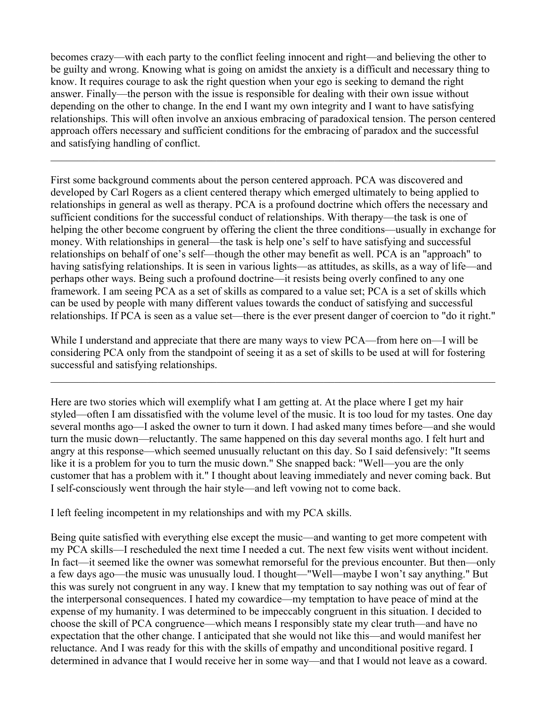becomes crazy—with each party to the conflict feeling innocent and right—and believing the other to be guilty and wrong. Knowing what is going on amidst the anxiety is a difficult and necessary thing to know. It requires courage to ask the right question when your ego is seeking to demand the right answer. Finally—the person with the issue is responsible for dealing with their own issue without depending on the other to change. In the end I want my own integrity and I want to have satisfying relationships. This will often involve an anxious embracing of paradoxical tension. The person centered approach offers necessary and sufficient conditions for the embracing of paradox and the successful and satisfying handling of conflict.

 $\mathcal{L}_\mathcal{L} = \{ \mathcal{L}_\mathcal{L} = \{ \mathcal{L}_\mathcal{L} = \{ \mathcal{L}_\mathcal{L} = \{ \mathcal{L}_\mathcal{L} = \{ \mathcal{L}_\mathcal{L} = \{ \mathcal{L}_\mathcal{L} = \{ \mathcal{L}_\mathcal{L} = \{ \mathcal{L}_\mathcal{L} = \{ \mathcal{L}_\mathcal{L} = \{ \mathcal{L}_\mathcal{L} = \{ \mathcal{L}_\mathcal{L} = \{ \mathcal{L}_\mathcal{L} = \{ \mathcal{L}_\mathcal{L} = \{ \mathcal{L}_\mathcal{$ 

First some background comments about the person centered approach. PCA was discovered and developed by Carl Rogers as a client centered therapy which emerged ultimately to being applied to relationships in general as well as therapy. PCA is a profound doctrine which offers the necessary and sufficient conditions for the successful conduct of relationships. With therapy—the task is one of helping the other become congruent by offering the client the three conditions—usually in exchange for money. With relationships in general—the task is help one's self to have satisfying and successful relationships on behalf of one's self—though the other may benefit as well. PCA is an "approach" to having satisfying relationships. It is seen in various lights—as attitudes, as skills, as a way of life—and perhaps other ways. Being such a profound doctrine—it resists being overly confined to any one framework. I am seeing PCA as a set of skills as compared to a value set; PCA is a set of skills which can be used by people with many different values towards the conduct of satisfying and successful relationships. If PCA is seen as a value set—there is the ever present danger of coercion to "do it right."

While I understand and appreciate that there are many ways to view PCA—from here on—I will be considering PCA only from the standpoint of seeing it as a set of skills to be used at will for fostering successful and satisfying relationships.

 $\mathcal{L}_\mathcal{L} = \{ \mathcal{L}_\mathcal{L} = \{ \mathcal{L}_\mathcal{L} = \{ \mathcal{L}_\mathcal{L} = \{ \mathcal{L}_\mathcal{L} = \{ \mathcal{L}_\mathcal{L} = \{ \mathcal{L}_\mathcal{L} = \{ \mathcal{L}_\mathcal{L} = \{ \mathcal{L}_\mathcal{L} = \{ \mathcal{L}_\mathcal{L} = \{ \mathcal{L}_\mathcal{L} = \{ \mathcal{L}_\mathcal{L} = \{ \mathcal{L}_\mathcal{L} = \{ \mathcal{L}_\mathcal{L} = \{ \mathcal{L}_\mathcal{$ 

Here are two stories which will exemplify what I am getting at. At the place where I get my hair styled—often I am dissatisfied with the volume level of the music. It is too loud for my tastes. One day several months ago—I asked the owner to turn it down. I had asked many times before—and she would turn the music down—reluctantly. The same happened on this day several months ago. I felt hurt and angry at this response—which seemed unusually reluctant on this day. So I said defensively: "It seems like it is a problem for you to turn the music down." She snapped back: "Well—you are the only customer that has a problem with it." I thought about leaving immediately and never coming back. But I self-consciously went through the hair style—and left vowing not to come back.

I left feeling incompetent in my relationships and with my PCA skills.

Being quite satisfied with everything else except the music—and wanting to get more competent with my PCA skills—I rescheduled the next time I needed a cut. The next few visits went without incident. In fact—it seemed like the owner was somewhat remorseful for the previous encounter. But then—only a few days ago—the music was unusually loud. I thought—"Well—maybe I won't say anything." But this was surely not congruent in any way. I knew that my temptation to say nothing was out of fear of the interpersonal consequences. I hated my cowardice—my temptation to have peace of mind at the expense of my humanity. I was determined to be impeccably congruent in this situation. I decided to choose the skill of PCA congruence—which means I responsibly state my clear truth—and have no expectation that the other change. I anticipated that she would not like this—and would manifest her reluctance. And I was ready for this with the skills of empathy and unconditional positive regard. I determined in advance that I would receive her in some way—and that I would not leave as a coward.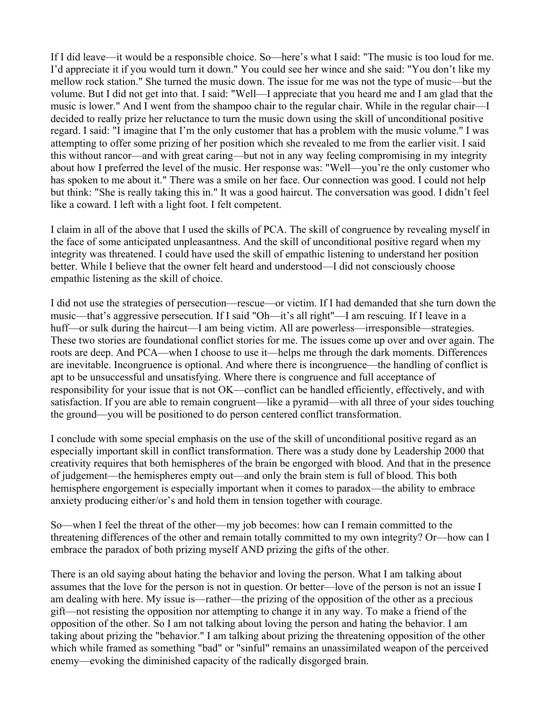If I did leave—it would be a responsible choice. So—here's what I said: "The music is too loud for me. I'd appreciate it if you would turn it down." You could see her wince and she said: "You don't like my mellow rock station." She turned the music down. The issue for me was not the type of music—but the volume. But I did not get into that. I said: "Well—I appreciate that you heard me and I am glad that the music is lower." And I went from the shampoo chair to the regular chair. While in the regular chair—I decided to really prize her reluctance to turn the music down using the skill of unconditional positive regard. I said: "I imagine that I'm the only customer that has a problem with the music volume." I was attempting to offer some prizing of her position which she revealed to me from the earlier visit. I said this without rancor—and with great caring—but not in any way feeling compromising in my integrity about how I preferred the level of the music. Her response was: "Well—you're the only customer who has spoken to me about it." There was a smile on her face. Our connection was good. I could not help but think: "She is really taking this in." It was a good haircut. The conversation was good. I didn't feel like a coward. I left with a light foot. I felt competent.

I claim in all of the above that I used the skills of PCA. The skill of congruence by revealing myself in the face of some anticipated unpleasantness. And the skill of unconditional positive regard when my integrity was threatened. I could have used the skill of empathic listening to understand her position better. While I believe that the owner felt heard and understood—I did not consciously choose empathic listening as the skill of choice.

I did not use the strategies of persecution—rescue—or victim. If I had demanded that she turn down the music—that's aggressive persecution. If I said "Oh—it's all right"—I am rescuing. If I leave in a huff—or sulk during the haircut—I am being victim. All are powerless—irresponsible—strategies. These two stories are foundational conflict stories for me. The issues come up over and over again. The roots are deep. And PCA—when I choose to use it—helps me through the dark moments. Differences are inevitable. Incongruence is optional. And where there is incongruence—the handling of conflict is apt to be unsuccessful and unsatisfying. Where there is congruence and full acceptance of responsibility for your issue that is not OK—conflict can be handled efficiently, effectively, and with satisfaction. If you are able to remain congruent—like a pyramid—with all three of your sides touching the ground—you will be positioned to do person centered conflict transformation.

I conclude with some special emphasis on the use of the skill of unconditional positive regard as an especially important skill in conflict transformation. There was a study done by Leadership 2000 that creativity requires that both hemispheres of the brain be engorged with blood. And that in the presence of judgement—the hemispheres empty out—and only the brain stem is full of blood. This both hemisphere engorgement is especially important when it comes to paradox—the ability to embrace anxiety producing either/or's and hold them in tension together with courage.

So—when I feel the threat of the other—my job becomes: how can I remain committed to the threatening differences of the other and remain totally committed to my own integrity? Or—how can I embrace the paradox of both prizing myself AND prizing the gifts of the other.

There is an old saying about hating the behavior and loving the person. What I am talking about assumes that the love for the person is not in question. Or better—love of the person is not an issue I am dealing with here. My issue is—rather—the prizing of the opposition of the other as a precious gift—not resisting the opposition nor attempting to change it in any way. To make a friend of the opposition of the other. So I am not talking about loving the person and hating the behavior. I am taking about prizing the "behavior." I am talking about prizing the threatening opposition of the other which while framed as something "bad" or "sinful" remains an unassimilated weapon of the perceived enemy—evoking the diminished capacity of the radically disgorged brain.